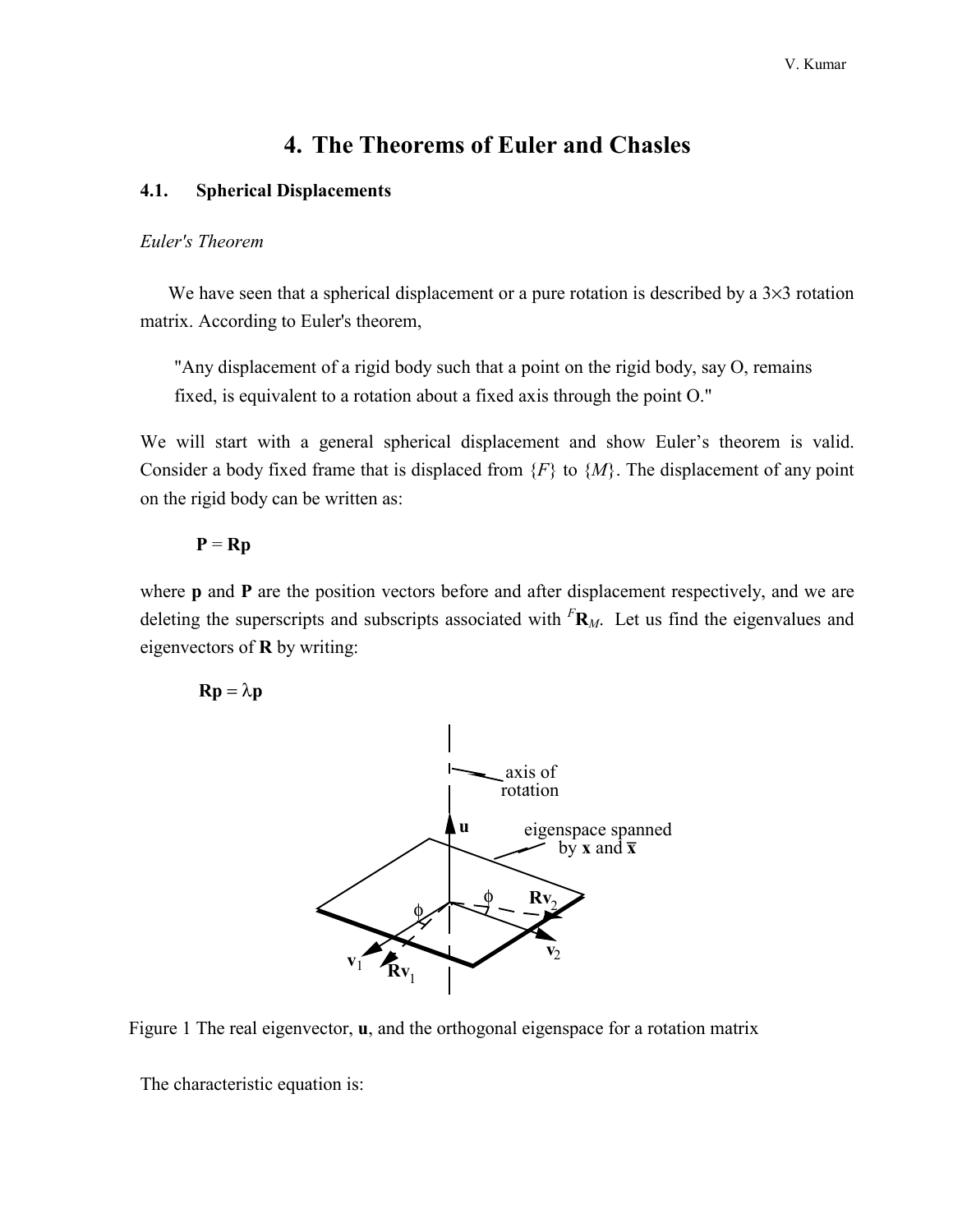# **4. The Theorems of Euler and Chasles**

## <span id="page-0-0"></span>**4.1. Spherical Displacements**

#### *Euler's Theorem*

We have seen that a spherical displacement or a pure rotation is described by a  $3\times3$  rotation matrix. According to Euler's theorem,

 "Any displacement of a rigid body such that a point on the rigid body, say O, remains fixed, is equivalent to a rotation about a fixed axis through the point O."

We will start with a general spherical displacement and show Euler's theorem is valid. Consider a body fixed frame that is displaced from  ${F}$  to  ${M}$ . The displacement of any point on the rigid body can be written as:

## $P = Rp$

where **p** and **P** are the position vectors before and after displacement respectively, and we are deleting the superscripts and subscripts associated with *<sup>F</sup>* **R***M*. Let us find the eigenvalues and eigenvectors of **R** by writing:

## $\mathbf{R}\mathbf{p} = \lambda \mathbf{p}$





The characteristic equation is: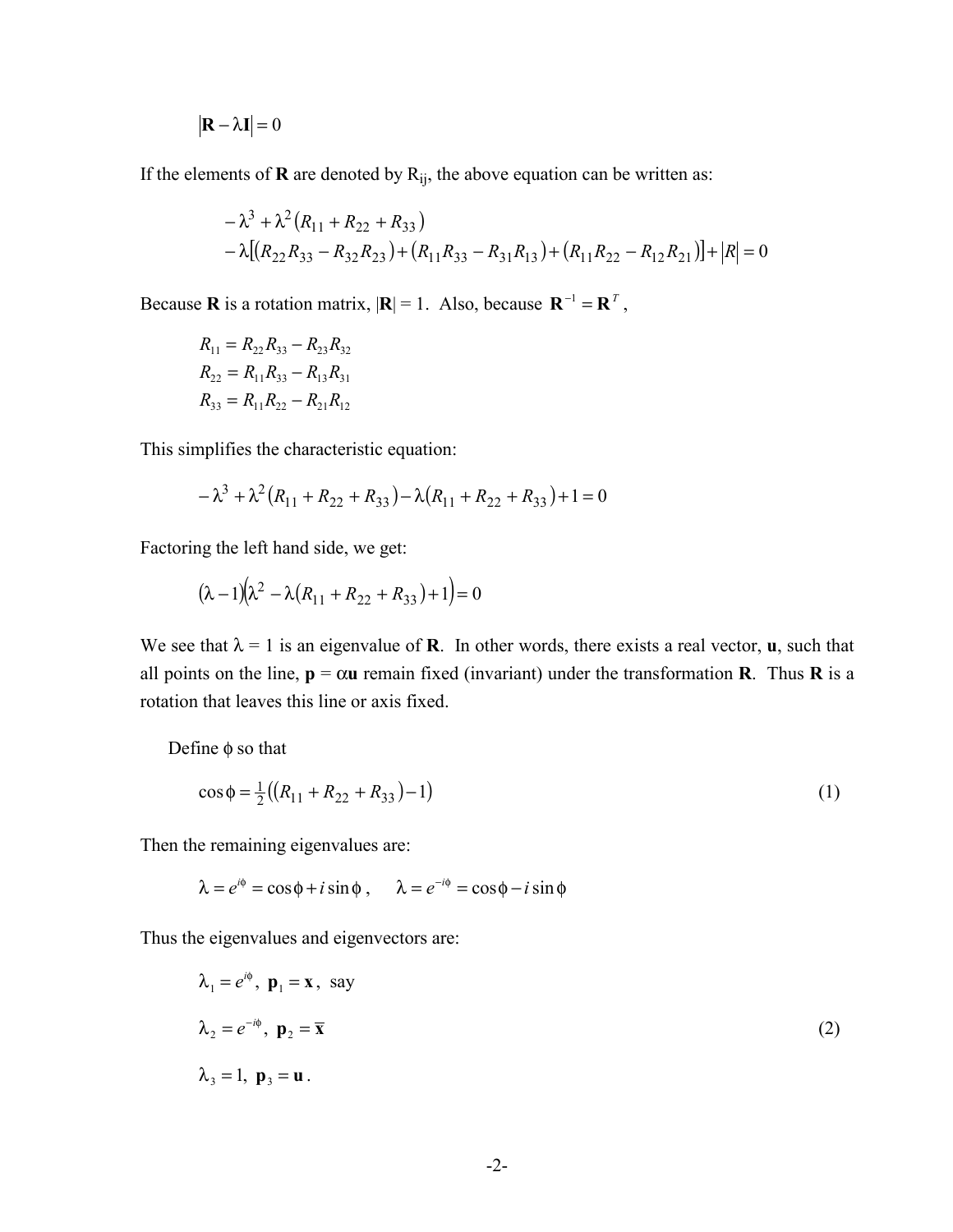$$
|\mathbf{R} - \lambda \mathbf{I}| = 0
$$

If the elements of  **are denoted by**  $R_{ij}$ **, the above equation can be written as:** 

$$
- \lambda^3 + \lambda^2 (R_{11} + R_{22} + R_{33})
$$
  
- \lambda [(R<sub>22</sub>R<sub>33</sub> - R<sub>32</sub>R<sub>23</sub>) + (R<sub>11</sub>R<sub>33</sub> - R<sub>31</sub>R<sub>13</sub>) + (R<sub>11</sub>R<sub>22</sub> - R<sub>12</sub>R<sub>21</sub>)] + |R| = 0

Because **R** is a rotation matrix,  $|\mathbf{R}| = 1$ . Also, because  $\mathbf{R}^{-1} = \mathbf{R}^{T}$ ,

$$
R_{11} = R_{22}R_{33} - R_{23}R_{32}
$$
  
\n
$$
R_{22} = R_{11}R_{33} - R_{13}R_{31}
$$
  
\n
$$
R_{33} = R_{11}R_{22} - R_{21}R_{12}
$$

This simplifies the characteristic equation:

$$
-\lambda^3 + \lambda^2 (R_{11} + R_{22} + R_{33}) - \lambda (R_{11} + R_{22} + R_{33}) + 1 = 0
$$

Factoring the left hand side, we get:

$$
(\lambda - 1)(\lambda^2 - \lambda(R_{11} + R_{22} + R_{33}) + 1) = 0
$$

We see that  $\lambda = 1$  is an eigenvalue of **R**. In other words, there exists a real vector, **u**, such that all points on the line,  $p = \alpha u$  remain fixed (invariant) under the transformation **R**. Thus **R** is a rotation that leaves this line or axis fixed.

Define  $\phi$  so that

$$
\cos \phi = \frac{1}{2} \left( \left( R_{11} + R_{22} + R_{33} \right) - 1 \right) \tag{1}
$$

Then the remaining eigenvalues are:

 $\lambda = e^{i\phi} = \cos\phi + i\sin\phi$ ,  $\lambda = e^{-i\phi} = \cos\phi - i\sin\phi$ 

Thus the eigenvalues and eigenvectors are:

$$
\lambda_1 = e^{i\phi}, \mathbf{p}_1 = \mathbf{x}, \text{ say}
$$
  
\n
$$
\lambda_2 = e^{-i\phi}, \mathbf{p}_2 = \overline{\mathbf{x}}
$$
  
\n
$$
\lambda_3 = 1, \mathbf{p}_3 = \mathbf{u}
$$
 (2)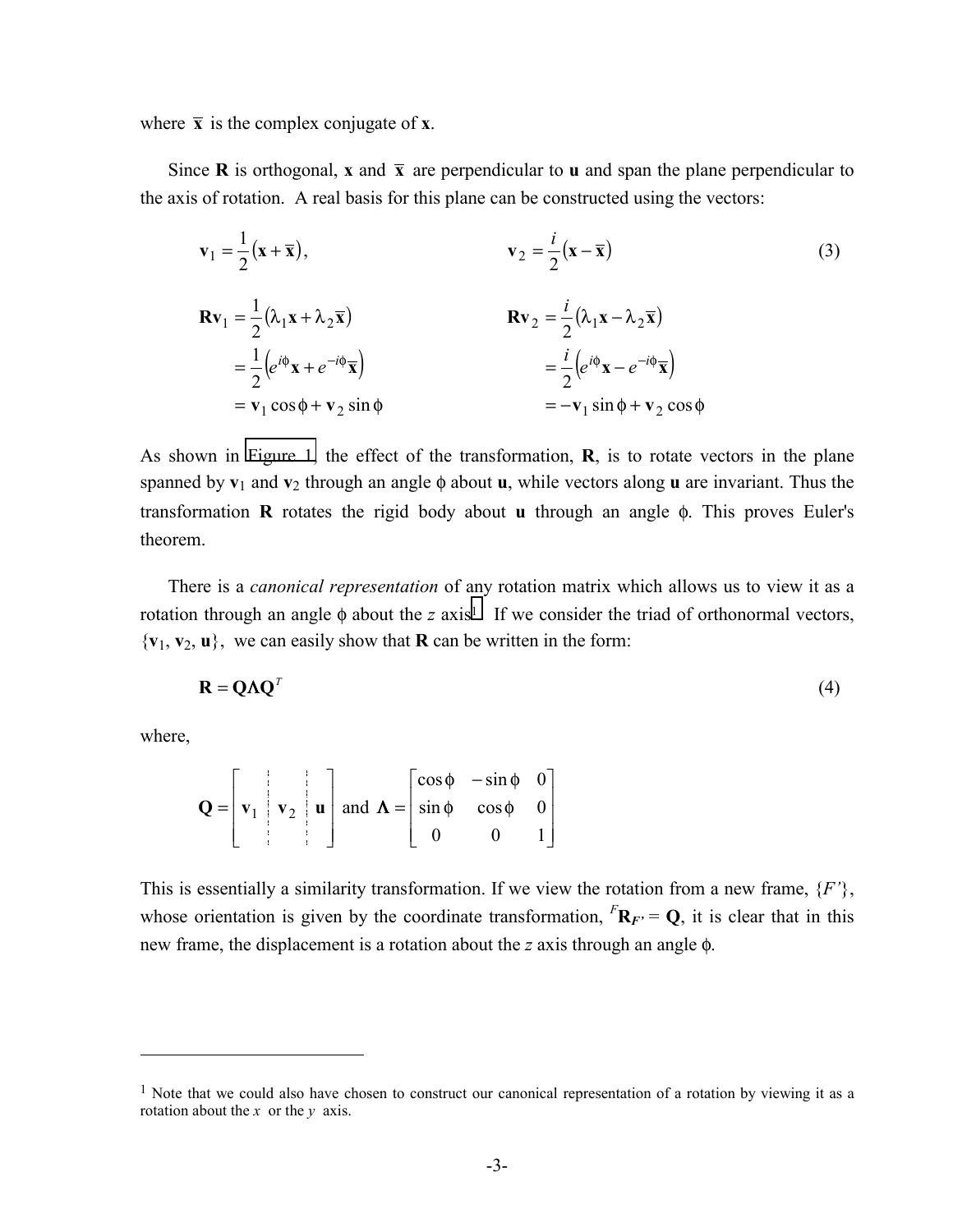where  $\bar{x}$  is the complex conjugate of  $\bar{x}$ .

Since **R** is orthogonal, **x** and  $\bar{x}$  are perpendicular to **u** and span the plane perpendicular to the axis of rotation. A real basis for this plane can be constructed using the vectors:

$$
\mathbf{v}_1 = \frac{1}{2} (\mathbf{x} + \overline{\mathbf{x}}), \qquad \mathbf{v}_2 = \frac{i}{2} (\mathbf{x} - \overline{\mathbf{x}})
$$
(3)  

$$
\mathbf{R} \mathbf{v}_1 = \frac{1}{2} (\lambda_1 \mathbf{x} + \lambda_2 \overline{\mathbf{x}}) \qquad \mathbf{R} \mathbf{v}_2 = \frac{i}{2} (\lambda_1 \mathbf{x} - \lambda_2 \overline{\mathbf{x}})
$$

$$
= \frac{1}{2} (e^{i\phi} \mathbf{x} + e^{-i\phi} \overline{\mathbf{x}}) \qquad = \frac{i}{2} (e^{i\phi} \mathbf{x} - e^{-i\phi} \overline{\mathbf{x}})
$$

$$
= \mathbf{v}_1 \cos \phi + \mathbf{v}_2 \sin \phi \qquad = -\mathbf{v}_1 \sin \phi + \mathbf{v}_2 \cos \phi
$$
(3)

As shown in [Figure 1,](#page-0-0) the effect of the transformation, **R**, is to rotate vectors in the plane spanned by **v**1 and **v**2 through an angle φ about **u**, while vectors along **u** are invariant. Thus the transformation **R** rotates the rigid body about **u** through an angle φ. This proves Euler's theorem.

 There is a *canonical representation* of any rotation matrix which allows us to view it as a rotation through an angle  $\phi$  about the *z* axis<sup>1</sup>. If we consider the triad of orthonormal vectors,  ${\bf v}_1, {\bf v}_2, {\bf u}$ , we can easily show that **R** can be written in the form:

$$
\mathbf{R} = \mathbf{Q}\mathbf{\Lambda}\mathbf{Q}^T \tag{4}
$$

where,

 $\overline{a}$ 

$$
\mathbf{Q} = \begin{bmatrix} \mathbf{v}_1 & \mathbf{v}_2 & \mathbf{u} \end{bmatrix} \text{ and } \mathbf{\Lambda} = \begin{bmatrix} \cos \phi & -\sin \phi & 0 \\ \sin \phi & \cos \phi & 0 \\ 0 & 0 & 1 \end{bmatrix}
$$

This is essentially a similarity transformation. If we view the rotation from a new frame, {*F'*}, whose orientation is given by the coordinate transformation,  $^F\mathbf{R}_F = \mathbf{Q}$ , it is clear that in this new frame, the displacement is a rotation about the *z* axis through an angle φ.

<sup>&</sup>lt;sup>1</sup> Note that we could also have chosen to construct our canonical representation of a rotation by viewing it as a rotation about the *x* or the *y* axis.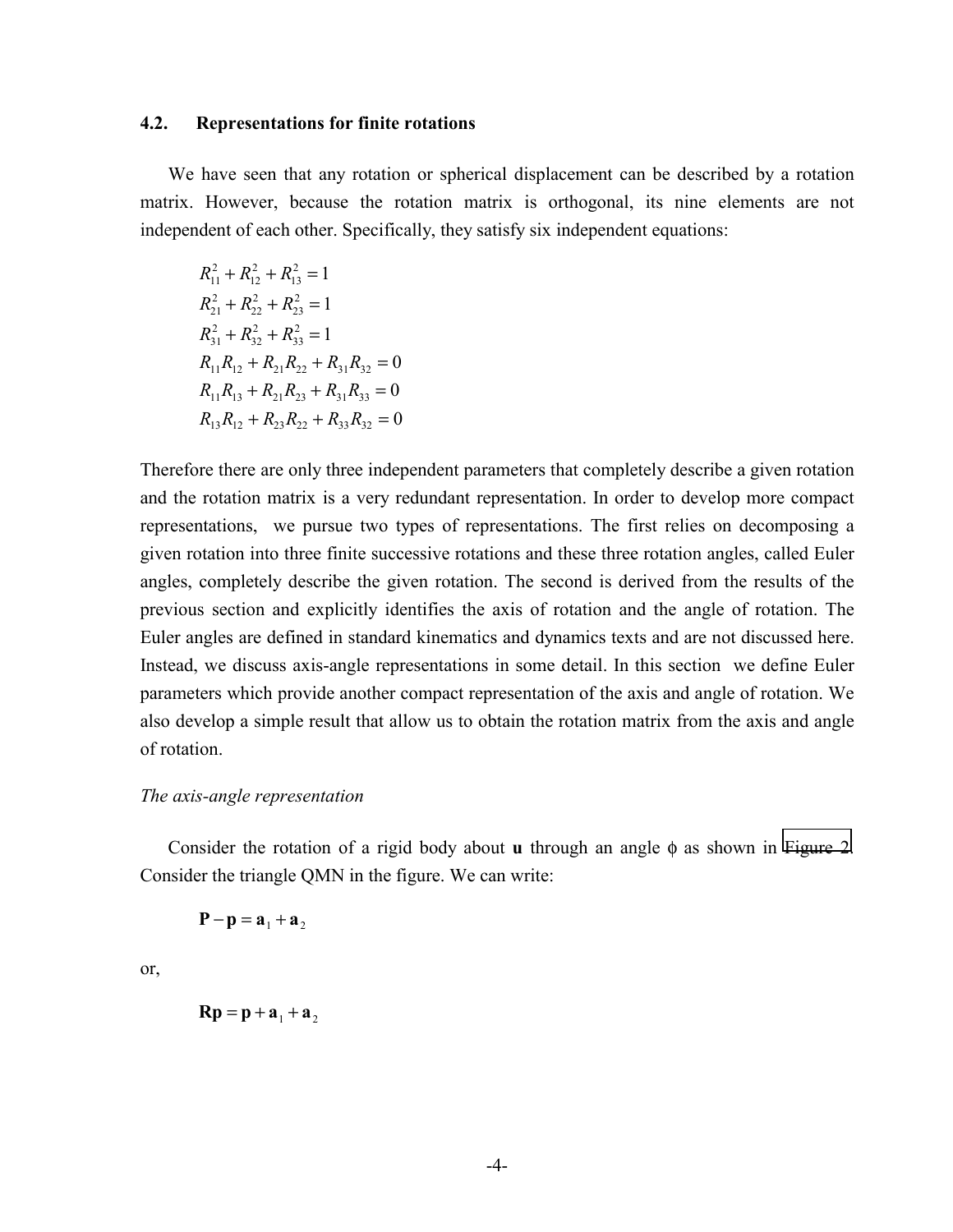#### **4.2. Representations for finite rotations**

 We have seen that any rotation or spherical displacement can be described by a rotation matrix. However, because the rotation matrix is orthogonal, its nine elements are not independent of each other. Specifically, they satisfy six independent equations:

 $R_{11}^2 + R_{12}^2 + R$  $R_{21}^2 + R_{22}^2 + R_{12}^2$  $R_{31}^2 + R_{32}^2 + R_1^2$  $R_{11}R_{12} + R_{21}R_{22} + R_{31}R_{32} = 0$  $R_{11}R_{13} + R_{21}R_{23} + R_{31}R_{33} = 0$  $R_{13}R_{12} + R_{23}R_{22} + R_{33}R_{32} = 0$ 2 12 2 13  $+ R_{12}^2 + R_{13}^2 = 1$ 2 22 2 23  $+ R_{22}^2 + R_{23}^2 = 1$ 2 32 2 33  $+ R_{32}^2 + R_{33}^2 = 1$ 

Therefore there are only three independent parameters that completely describe a given rotation and the rotation matrix is a very redundant representation. In order to develop more compact representations, we pursue two types of representations. The first relies on decomposing a given rotation into three finite successive rotations and these three rotation angles, called Euler angles, completely describe the given rotation. The second is derived from the results of the previous section and explicitly identifies the axis of rotation and the angle of rotation. The Euler angles are defined in standard kinematics and dynamics texts and are not discussed here. Instead, we discuss axis-angle representations in some detail. In this section we define Euler parameters which provide another compact representation of the axis and angle of rotation. We also develop a simple result that allow us to obtain the rotation matrix from the axis and angle of rotation.

#### *The axis-angle representation*

 Consider the rotation of a rigid body about **u** through an angle φ as shown in [Figure 2.](#page-4-0) Consider the triangle QMN in the figure. We can write:

 $P-p = a_1 + a_2$ 

or,

 $\mathbf{R} \mathbf{p} = \mathbf{p} + \mathbf{a}_1 + \mathbf{a}_2$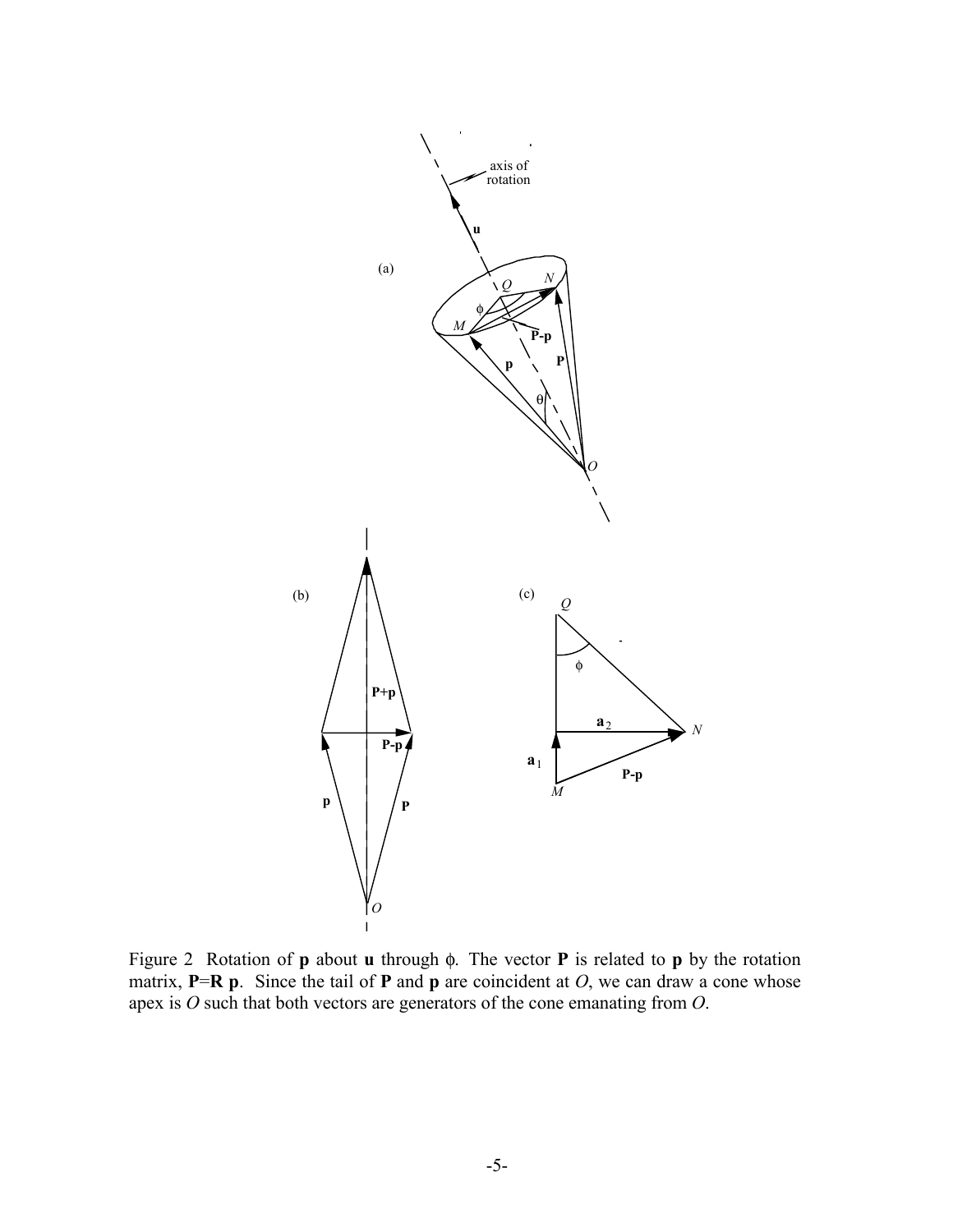<span id="page-4-0"></span>

Figure 2 Rotation of **p** about **u** through φ. The vector **P** is related to **p** by the rotation matrix,  $P=R$  **p**. Since the tail of **P** and **p** are coincident at *O*, we can draw a cone whose apex is *O* such that both vectors are generators of the cone emanating from *O*.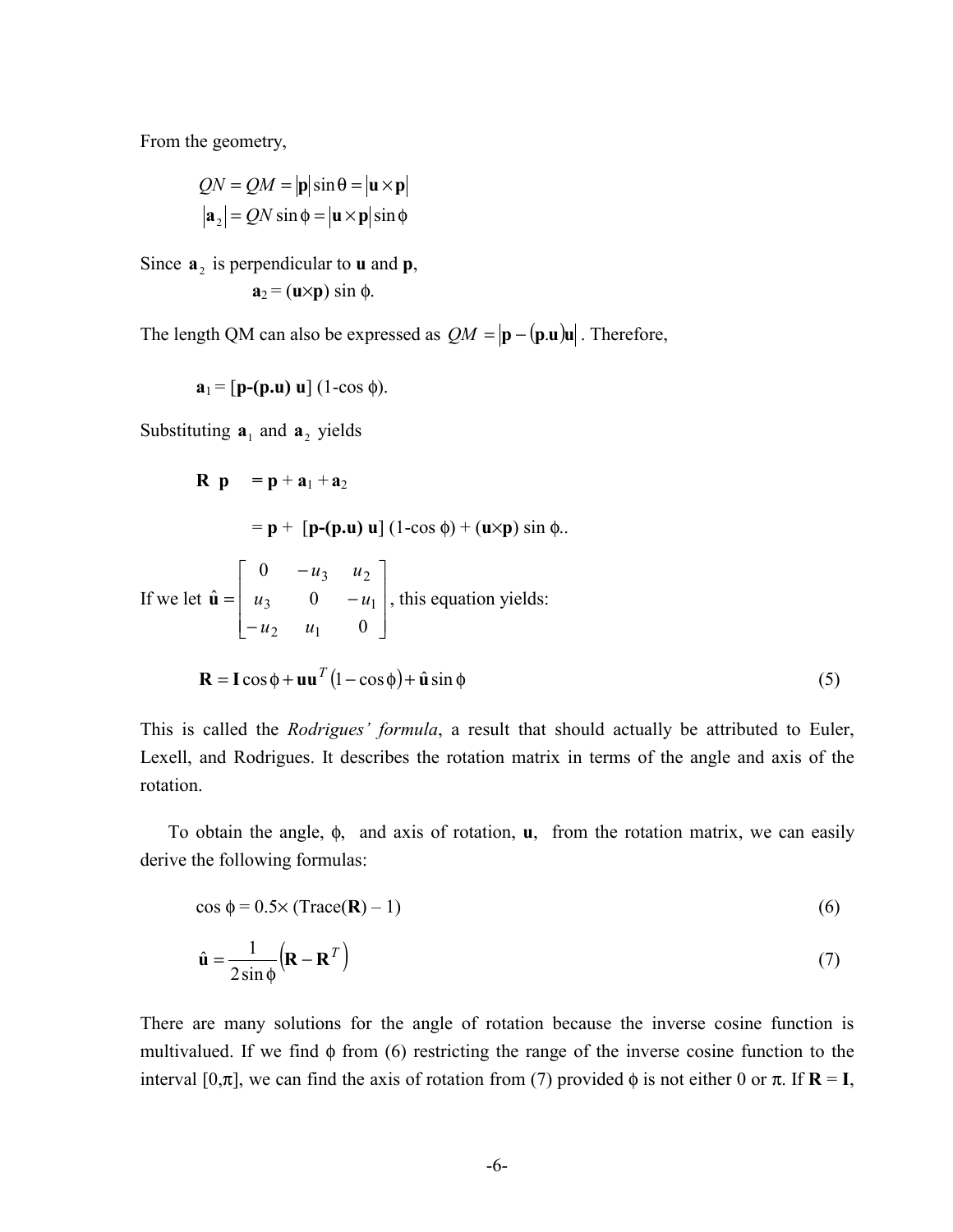From the geometry,

$$
QN = QM = |\mathbf{p}|\sin\theta = |\mathbf{u} \times \mathbf{p}|
$$

$$
|\mathbf{a}_2| = QN\sin\phi = |\mathbf{u} \times \mathbf{p}|\sin\phi
$$

Since  $\mathbf{a}_2$  is perpendicular to **u** and **p**,  $\mathbf{a}_2 = (\mathbf{u} \times \mathbf{p}) \sin \phi$ .

The length QM can also be expressed as  $QM = |\mathbf{p} - (\mathbf{p} \cdot \mathbf{u})\mathbf{u}|$ . Therefore,

$$
\mathbf{a}_1 = [\mathbf{p}-(\mathbf{p}.\mathbf{u}) \mathbf{u}] (1-\cos \phi).
$$

Substituting  $\mathbf{a}_1$  and  $\mathbf{a}_2$  yields

$$
\mathbf{R} \quad \mathbf{p} = \mathbf{p} + \mathbf{a}_1 + \mathbf{a}_2
$$
\n
$$
= \mathbf{p} + [\mathbf{p} - (\mathbf{p} \cdot \mathbf{u}) \mathbf{u}] (1 - \cos \phi) + (\mathbf{u} \times \mathbf{p}) \sin \phi.
$$
\nIf we let  $\hat{\mathbf{u}} = \begin{bmatrix} 0 & -u_3 & u_2 \\ u_3 & 0 & -u_1 \\ -u_2 & u_1 & 0 \end{bmatrix}$ , this equation yields:\n
$$
\mathbf{R} = \mathbf{I} \cos \phi + \mathbf{u} \mathbf{u}^T (1 - \cos \phi) + \hat{\mathbf{u}} \sin \phi
$$
\n(5)

This is called the *Rodrigues' formula*, a result that should actually be attributed to Euler, Lexell, and Rodrigues. It describes the rotation matrix in terms of the angle and axis of the rotation.

 To obtain the angle, φ, and axis of rotation, **u**, from the rotation matrix, we can easily derive the following formulas:

$$
\cos \phi = 0.5 \times (\text{Trace}(\mathbf{R}) - 1) \tag{6}
$$

$$
\hat{\mathbf{u}} = \frac{1}{2\sin\phi} \left( \mathbf{R} - \mathbf{R}^T \right)
$$
 (7)

There are many solutions for the angle of rotation because the inverse cosine function is multivalued. If we find  $\phi$  from (6) restricting the range of the inverse cosine function to the interval  $[0,\pi]$ , we can find the axis of rotation from (7) provided  $\phi$  is not either 0 or  $\pi$ . If  $\mathbf{R} = \mathbf{I}$ ,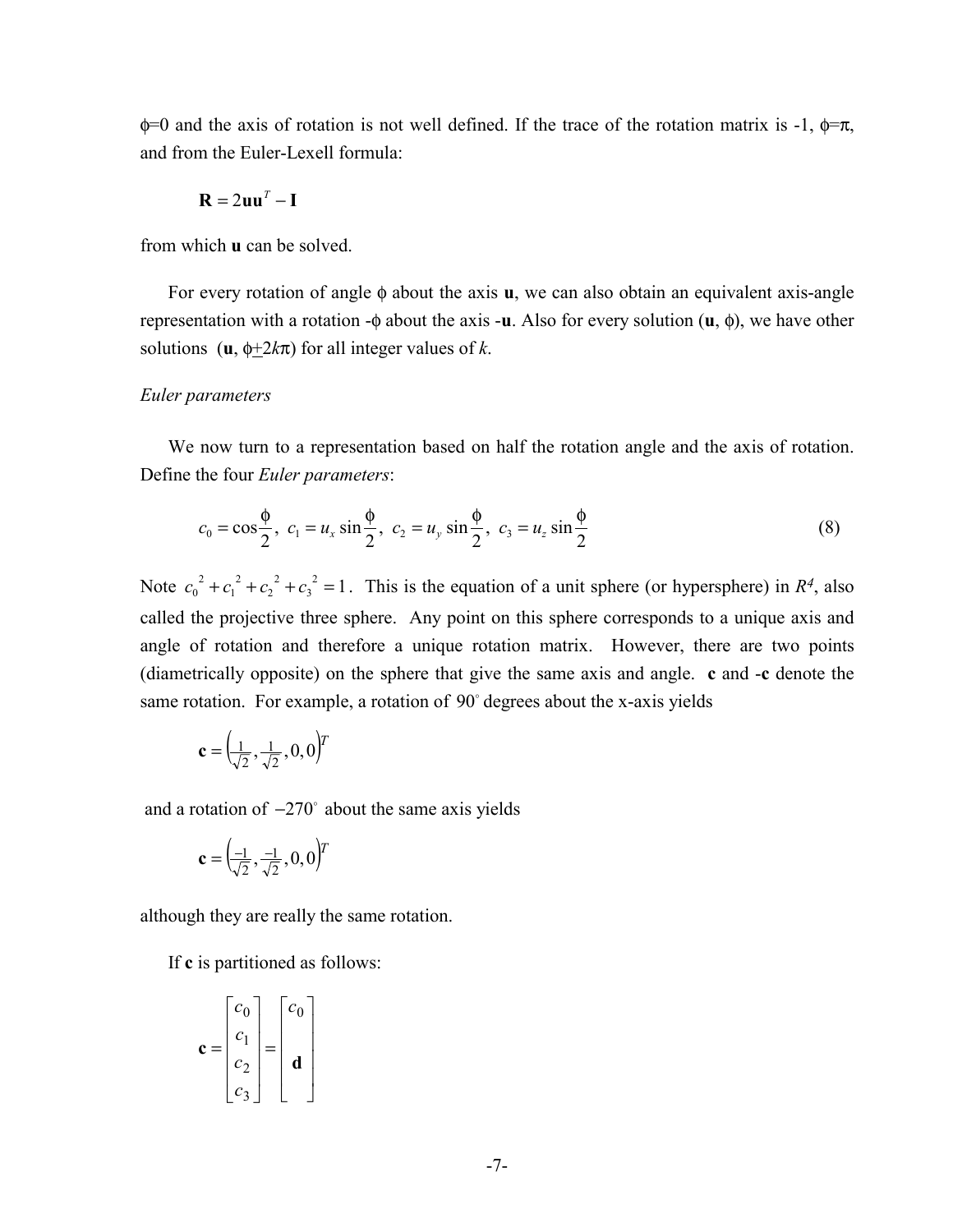$\phi$ =0 and the axis of rotation is not well defined. If the trace of the rotation matrix is -1,  $\phi = \pi$ , and from the Euler-Lexell formula:

$$
\mathbf{R} = 2\mathbf{u}\mathbf{u}^T - \mathbf{I}
$$

from which **u** can be solved.

 For every rotation of angle φ about the axis **u**, we can also obtain an equivalent axis-angle representation with a rotation -φ about the axis -**u**. Also for every solution (**u**, φ), we have other solutions ( $\mathbf{u}, \phi \neq 2k\pi$ ) for all integer values of *k*.

#### *Euler parameters*

We now turn to a representation based on half the rotation angle and the axis of rotation. Define the four *Euler parameters*:

$$
c_0 = \cos\frac{\phi}{2}, \ c_1 = u_x \sin\frac{\phi}{2}, \ c_2 = u_y \sin\frac{\phi}{2}, \ c_3 = u_z \sin\frac{\phi}{2}
$$
 (8)

Note  $c_0^2 + c_1^2 + c_2^2 + c_1^2$ 1 2 2 2  $+ c_1^2 + c_2^2 + c_3^2 = 1$ . This is the equation of a unit sphere (or hypersphere) in *R<sup>4</sup>*, also called the projective three sphere. Any point on this sphere corresponds to a unique axis and angle of rotation and therefore a unique rotation matrix. However, there are two points (diametrically opposite) on the sphere that give the same axis and angle. **c** and -**c** denote the same rotation. For example, a rotation of  $90^\circ$  degrees about the x-axis yields

$$
\mathbf{c} = \left(\frac{1}{\sqrt{2}}, \frac{1}{\sqrt{2}}, 0, 0\right)^T
$$

and a rotation of  $-270^\circ$  about the same axis yields

$$
\mathbf{c} = \left(\frac{-1}{\sqrt{2}}, \frac{-1}{\sqrt{2}}, 0, 0\right)^T
$$

although they are really the same rotation.

If **c** is partitioned as follows:

$$
\mathbf{c} = \begin{bmatrix} c_0 \\ c_1 \\ c_2 \\ c_3 \end{bmatrix} = \begin{bmatrix} c_0 \\ \mathbf{d} \\ \mathbf{d} \end{bmatrix}
$$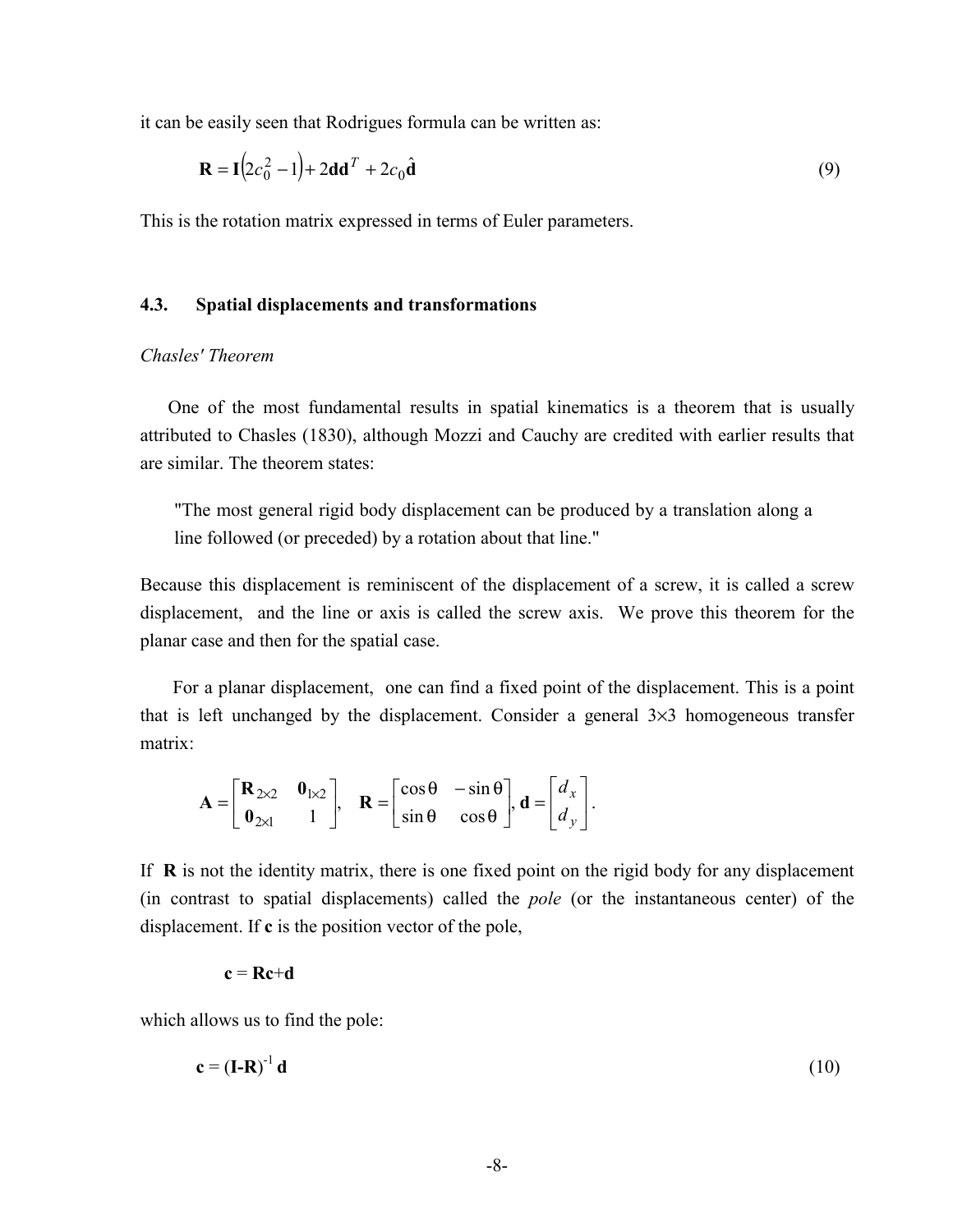it can be easily seen that Rodrigues formula can be written as:

$$
\mathbf{R} = \mathbf{I}(2c_0^2 - 1) + 2\mathbf{d}\mathbf{d}^T + 2c_0\hat{\mathbf{d}} \tag{9}
$$

This is the rotation matrix expressed in terms of Euler parameters.

#### **4.3. Spatial displacements and transformations**

## *Chasles' Theorem*

 One of the most fundamental results in spatial kinematics is a theorem that is usually attributed to Chasles (1830), although Mozzi and Cauchy are credited with earlier results that are similar. The theorem states:

 "The most general rigid body displacement can be produced by a translation along a line followed (or preceded) by a rotation about that line."

Because this displacement is reminiscent of the displacement of a screw, it is called a screw displacement, and the line or axis is called the screw axis. We prove this theorem for the planar case and then for the spatial case.

 For a planar displacement, one can find a fixed point of the displacement. This is a point that is left unchanged by the displacement. Consider a general  $3\times3$  homogeneous transfer matrix:

$$
\mathbf{A} = \begin{bmatrix} \mathbf{R}_{2 \times 2} & \mathbf{0}_{1 \times 2} \\ \mathbf{0}_{2 \times 1} & 1 \end{bmatrix}, \quad \mathbf{R} = \begin{bmatrix} \cos \theta & -\sin \theta \\ \sin \theta & \cos \theta \end{bmatrix}, \mathbf{d} = \begin{bmatrix} d_x \\ d_y \end{bmatrix}.
$$

If **R** is not the identity matrix, there is one fixed point on the rigid body for any displacement (in contrast to spatial displacements) called the *pole* (or the instantaneous center) of the displacement. If **c** is the position vector of the pole,

#### $c = Re + d$

which allows us to find the pole:

$$
\mathbf{c} = (\mathbf{I} - \mathbf{R})^{-1} \mathbf{d} \tag{10}
$$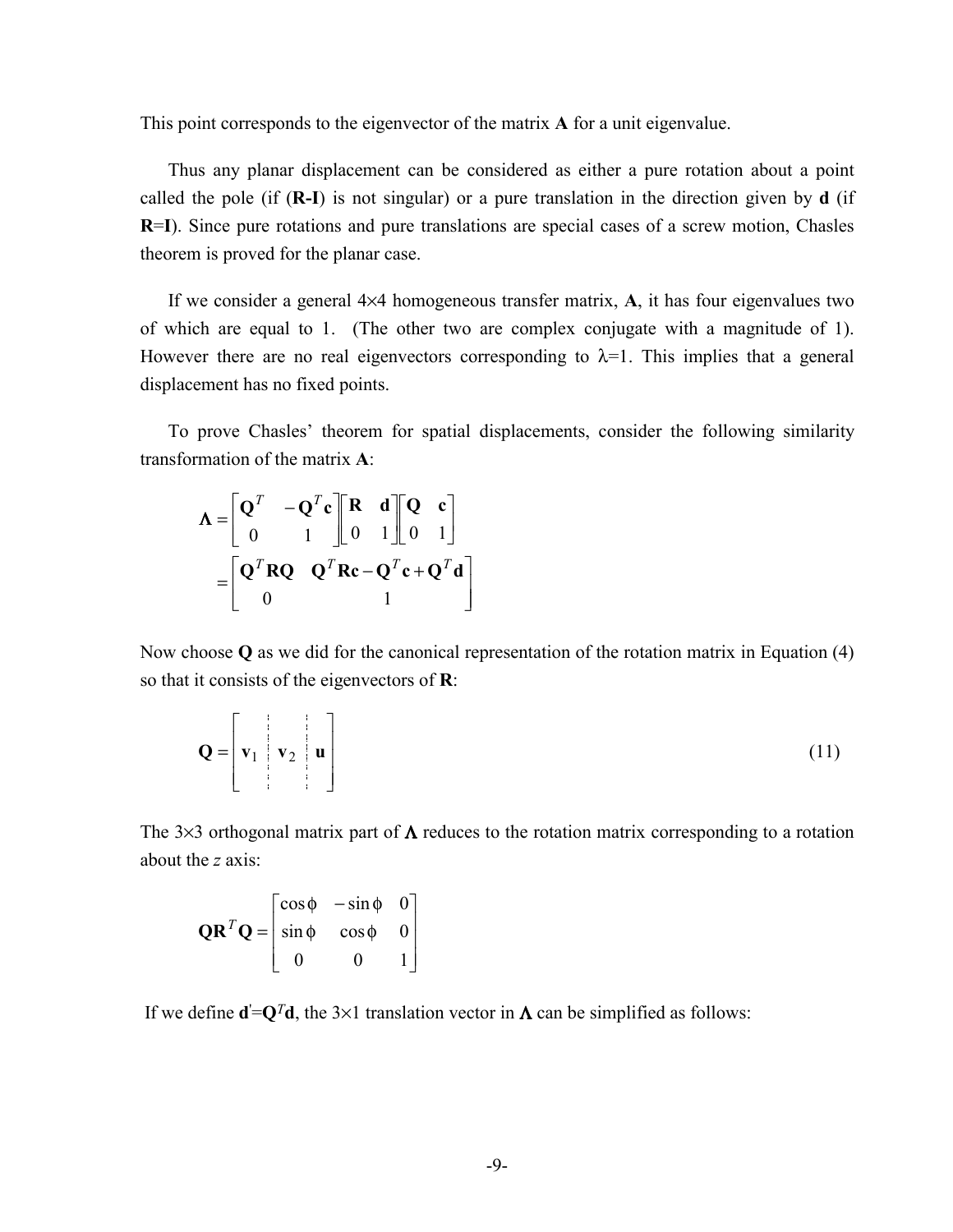This point corresponds to the eigenvector of the matrix **A** for a unit eigenvalue.

 Thus any planar displacement can be considered as either a pure rotation about a point called the pole (if (**R-I**) is not singular) or a pure translation in the direction given by **d** (if **R**=**I**). Since pure rotations and pure translations are special cases of a screw motion, Chasles theorem is proved for the planar case.

 If we consider a general 4×4 homogeneous transfer matrix, **A**, it has four eigenvalues two of which are equal to 1. (The other two are complex conjugate with a magnitude of 1). However there are no real eigenvectors corresponding to  $\lambda=1$ . This implies that a general displacement has no fixed points.

 To prove Chasles' theorem for spatial displacements, consider the following similarity transformation of the matrix **A**:

$$
\mathbf{\Lambda} = \begin{bmatrix} \mathbf{Q}^T & -\mathbf{Q}^T \mathbf{c} \\ 0 & 1 \end{bmatrix} \begin{bmatrix} \mathbf{R} & \mathbf{d} \\ 0 & 1 \end{bmatrix} \begin{bmatrix} \mathbf{Q} & \mathbf{c} \\ 0 & 1 \end{bmatrix}
$$

$$
= \begin{bmatrix} \mathbf{Q}^T \mathbf{RQ} & \mathbf{Q}^T \mathbf{Rc} - \mathbf{Q}^T \mathbf{c} + \mathbf{Q}^T \mathbf{d} \\ 0 & 1 \end{bmatrix}
$$

Now choose **Q** as we did for the canonical representation of the rotation matrix in Equation (4) so that it consists of the eigenvectors of **R**:

$$
\mathbf{Q} = \left[ \mathbf{v}_1 \quad \mathbf{v}_2 \quad \mathbf{u} \right] \tag{11}
$$

The 3×3 orthogonal matrix part of  $\Lambda$  reduces to the rotation matrix corresponding to a rotation about the *z* axis:

$$
\mathbf{QR}^T \mathbf{Q} = \begin{bmatrix} \cos \phi & -\sin \phi & 0 \\ \sin \phi & \cos \phi & 0 \\ 0 & 0 & 1 \end{bmatrix}
$$

If we define  $\mathbf{d} = \mathbf{Q}^T \mathbf{d}$ , the 3×1 translation vector in  $\Lambda$  can be simplified as follows: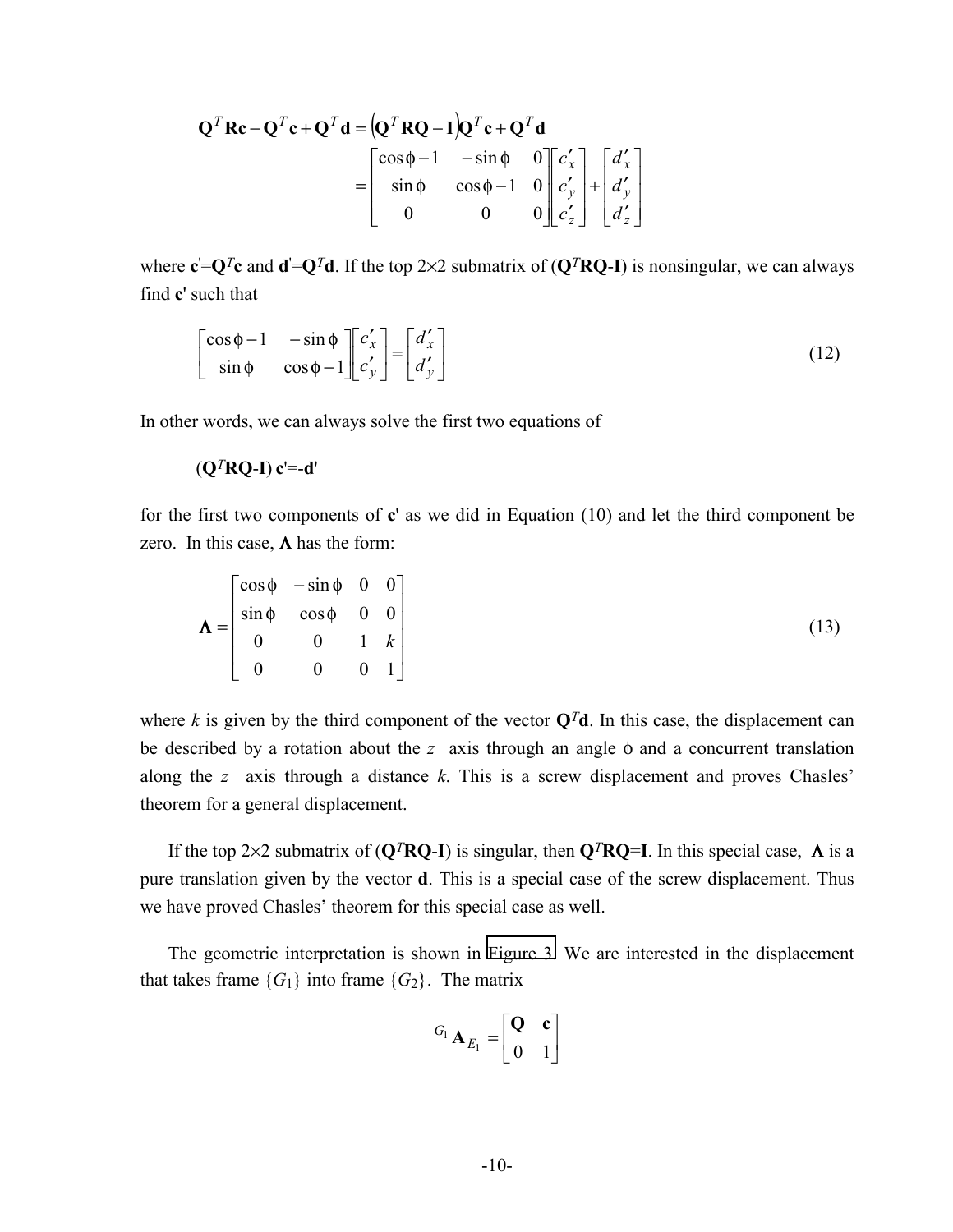$$
\mathbf{Q}^T \mathbf{R} \mathbf{c} - \mathbf{Q}^T \mathbf{c} + \mathbf{Q}^T \mathbf{d} = \left( \mathbf{Q}^T \mathbf{R} \mathbf{Q} - \mathbf{I} \right) \mathbf{Q}^T \mathbf{c} + \mathbf{Q}^T \mathbf{d}
$$
  
= 
$$
\begin{bmatrix} \cos \phi - 1 & -\sin \phi & 0 \\ \sin \phi & \cos \phi - 1 & 0 \\ 0 & 0 & 0 \end{bmatrix} \begin{bmatrix} c'_x \\ c'_y \\ c'_z \end{bmatrix} + \begin{bmatrix} d'_x \\ d'_y \\ d'_z \end{bmatrix}
$$

where  $c' = Q^T c$  and  $d' = Q^T d$ . If the top 2×2 submatrix of  $(Q^T R Q - I)$  is nonsingular, we can always find **c**' such that

$$
\begin{bmatrix}\n\cos \phi - 1 & -\sin \phi \\
\sin \phi & \cos \phi - 1\n\end{bmatrix}\n\begin{bmatrix}\nc'_x \\
c'_y\n\end{bmatrix} =\n\begin{bmatrix}\nd'_x \\
d'_y\n\end{bmatrix}
$$
\n(12)

In other words, we can always solve the first two equations of

$$
(\mathbf{Q}^T \mathbf{R} \mathbf{Q} \mathbf{I}) \mathbf{c} = \mathbf{d}'
$$

for the first two components of **c**' as we did in Equation (10) and let the third component be zero. In this case,  $\Lambda$  has the form:

$$
\mathbf{\Lambda} = \begin{bmatrix} \cos \phi & -\sin \phi & 0 & 0 \\ \sin \phi & \cos \phi & 0 & 0 \\ 0 & 0 & 1 & k \\ 0 & 0 & 0 & 1 \end{bmatrix}
$$
 (13)

where *k* is given by the third component of the vector  $Q<sup>T</sup>d$ . In this case, the displacement can be described by a rotation about the *z* axis through an angle φ and a concurrent translation along the *z* axis through a distance *k*. This is a screw displacement and proves Chasles' theorem for a general displacement.

If the top 2×2 submatrix of  $(Q^T R Q - I)$  is singular, then  $Q^T R Q = I$ . In this special case,  $\Lambda$  is a pure translation given by the vector **d**. This is a special case of the screw displacement. Thus we have proved Chasles' theorem for this special case as well.

 The geometric interpretation is shown in [Figure 3.](#page-11-0) We are interested in the displacement that takes frame  ${G_1}$  into frame  ${G_2}$ . The matrix

$$
^{G_1}\mathbf{A}_{E_1} = \begin{bmatrix} \mathbf{Q} & \mathbf{c} \\ 0 & 1 \end{bmatrix}
$$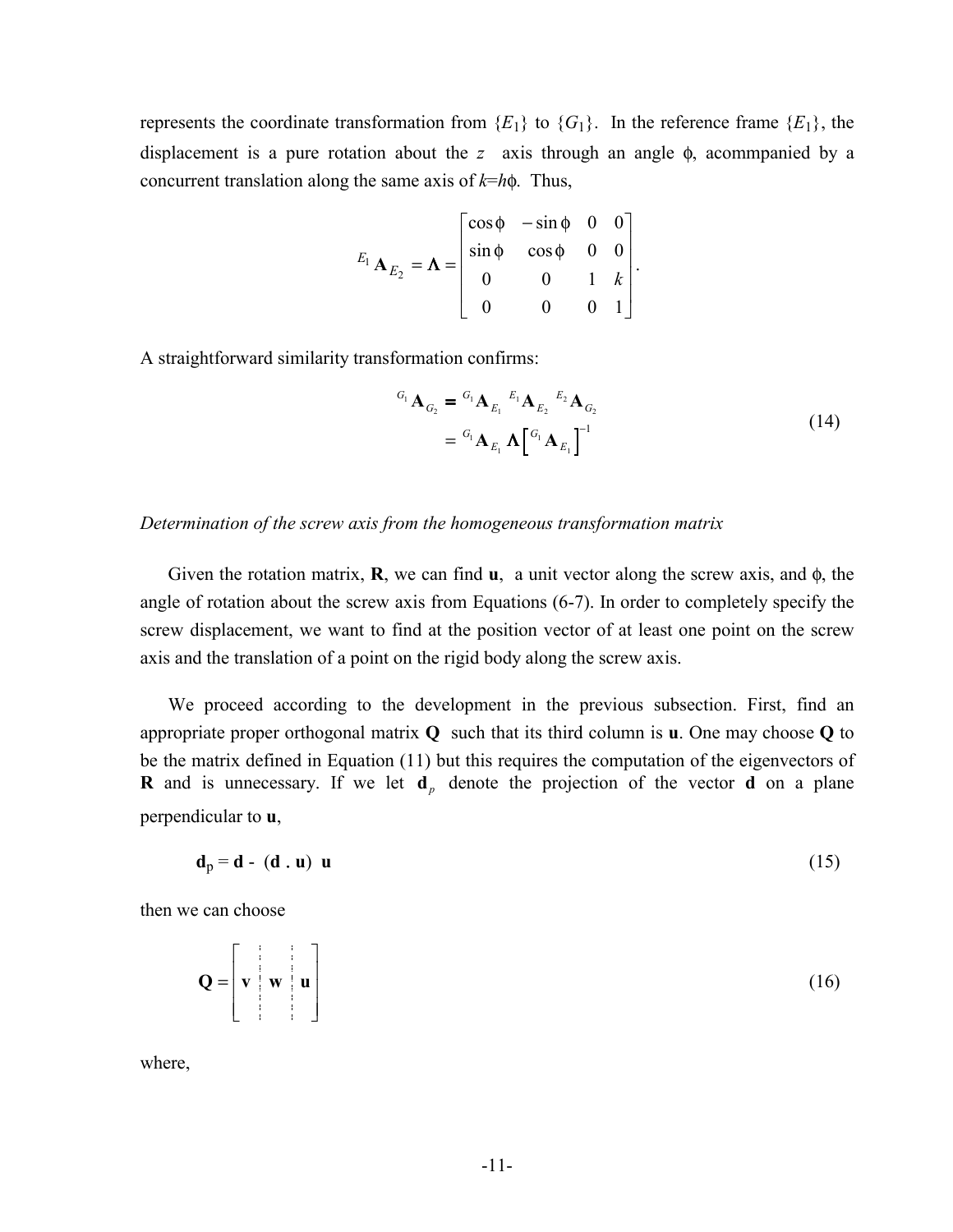represents the coordinate transformation from  ${E_1}$  to  ${G_1}$ . In the reference frame  ${E_1}$ , the displacement is a pure rotation about the *z* axis through an angle φ, acommpanied by a concurrent translation along the same axis of *k*=*h*φ. Thus,

$$
E_1 \mathbf{A}_{E_2} = \mathbf{\Lambda} = \begin{bmatrix} \cos \phi & -\sin \phi & 0 & 0 \\ \sin \phi & \cos \phi & 0 & 0 \\ 0 & 0 & 1 & k \\ 0 & 0 & 0 & 1 \end{bmatrix}.
$$

A straightforward similarity transformation confirms:

$$
{}^{G_1} \mathbf{A}_{G_2} = {}^{G_1} \mathbf{A}_{E_1} {}^{E_1} \mathbf{A}_{E_2} {}^{E_2} \mathbf{A}_{G_2}
$$
  
=  ${}^{G_1} \mathbf{A}_{E_1} \mathbf{\Lambda} \left[ {}^{G_1} \mathbf{A}_{E_1} \right]^{-1}$  (14)

#### *Determination of the screw axis from the homogeneous transformation matrix*

 Given the rotation matrix, **R**, we can find **u**, a unit vector along the screw axis, and φ, the angle of rotation about the screw axis from Equations (6-7). In order to completely specify the screw displacement, we want to find at the position vector of at least one point on the screw axis and the translation of a point on the rigid body along the screw axis.

 We proceed according to the development in the previous subsection. First, find an appropriate proper orthogonal matrix **Q** such that its third column is **u**. One may choose **Q** to be the matrix defined in Equation (11) but this requires the computation of the eigenvectors of **R** and is unnecessary. If we let  $\mathbf{d}_p$  denote the projection of the vector **d** on a plane perpendicular to **u**,

$$
\mathbf{d}_p = \mathbf{d} - (\mathbf{d} \cdot \mathbf{u}) \mathbf{u} \tag{15}
$$

then we can choose

$$
\mathbf{Q} = \begin{bmatrix} \mathbf{v} & \mathbf{w} & \mathbf{u} \\ \mathbf{v} & \mathbf{v} & \mathbf{u} \end{bmatrix}
$$
 (16)

where,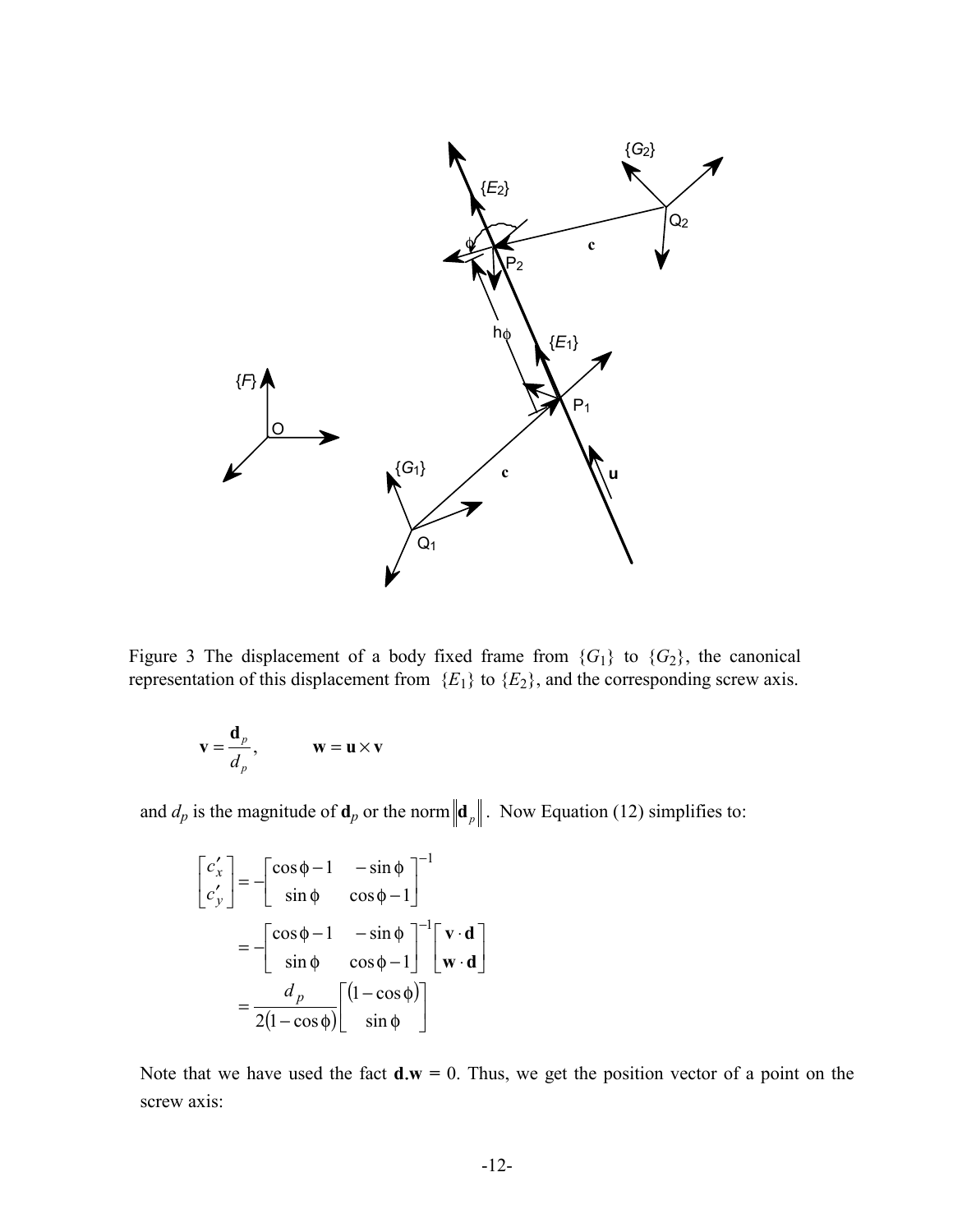<span id="page-11-0"></span>

Figure 3 The displacement of a body fixed frame from  ${G_1}$  to  ${G_2}$ , the canonical representation of this displacement from  ${E_1}$  to  ${E_2}$ , and the corresponding screw axis.

$$
\mathbf{v} = \frac{\mathbf{d}_p}{d_p}, \qquad \mathbf{w} = \mathbf{u} \times \mathbf{v}
$$

and  $d_p$  is the magnitude of  $\mathbf{d}_p$  or the norm  $\|\mathbf{d}_p\|$ . Now Equation (12) simplifies to:

$$
\begin{bmatrix} c'_x \\ c'_y \end{bmatrix} = -\begin{bmatrix} \cos \phi - 1 & -\sin \phi \\ \sin \phi & \cos \phi - 1 \end{bmatrix}^{-1}
$$

$$
= -\begin{bmatrix} \cos \phi - 1 & -\sin \phi \\ \sin \phi & \cos \phi - 1 \end{bmatrix}^{-1} \begin{bmatrix} \mathbf{v} \cdot \mathbf{d} \\ \mathbf{w} \cdot \mathbf{d} \end{bmatrix}
$$

$$
= \frac{d_p}{2(1 - \cos \phi)} \begin{bmatrix} (1 - \cos \phi) \\ \sin \phi \end{bmatrix}
$$

Note that we have used the fact  $\mathbf{d}.\mathbf{w} = 0$ . Thus, we get the position vector of a point on the screw axis: